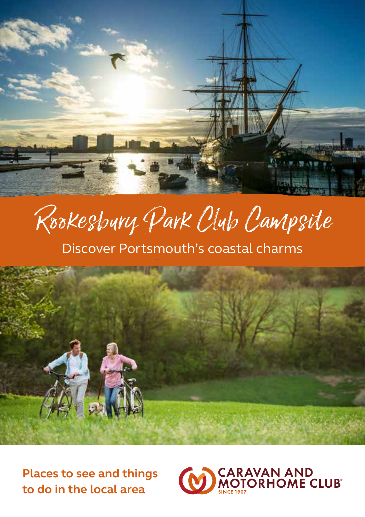

Rookesbury Park Club Campsite

# Discover Portsmouth's coastal charms



**Places to see and things to do in the local area**

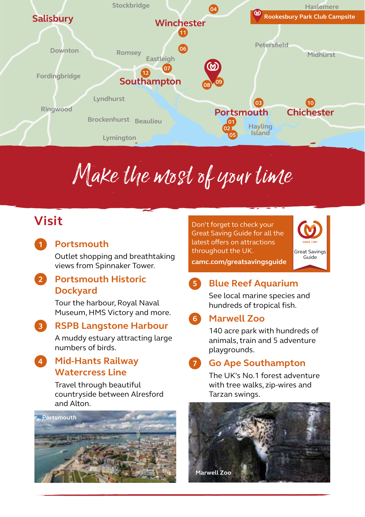

# Make the most of your time

# **Visit**

**1**

### **Portsmouth**

Outlet shopping and breathtaking views from Spinnaker Tower.

### **Portsmouth Historic 2 Dockyard**

Tour the harbour, Royal Naval Museum, HMS Victory and more.

#### **RSPB Langstone Harbour 3**

A muddy estuary attracting large numbers of birds.

### **Mid-Hants Railway Watercress Line 4**

Travel through beautiful countryside between Alresford and Alton.



Don't forget to check your Great Saving Guide for all the latest offers on attractions throughout the UK.



**camc.com/greatsavingsguide**

#### **Blue Reef Aquarium 5**

See local marine species and hundreds of tropical fish.

#### **Marwell Zoo 6**

140 acre park with hundreds of animals, train and 5 adventure playgrounds.

#### **Go Ape Southampton 7**

The UK's No.1 forest adventure with tree walks, zip-wires and Tarzan swings.

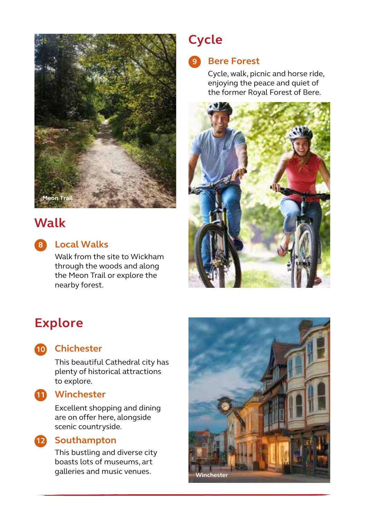

## **Walk**

**Local Walks 8**

Walk from the site to Wickham through the woods and along the Meon Trail or explore the nearby forest.

# **Cycle**

#### **Bere Forest 9**

Cycle, walk, picnic and horse ride, enjoying the peace and quiet of the former Royal Forest of Bere.



# **Explore**



### **Chichester 10**

This beautiful Cathedral city has plenty of historical attractions to explore.

### **Winchester 11**

Excellent shopping and dining are on offer here, alongside scenic countryside.

### **12** Southampton

This bustling and diverse city boasts lots of museums, art galleries and music venues. **Winchester**